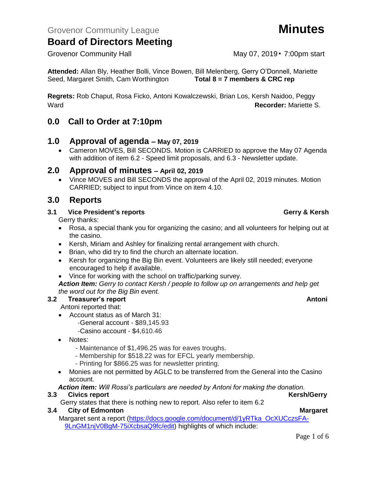**Attended:** Allan Bly, Heather Bolli, Vince Bowen, Bill Melenberg, Gerry O'Donnell, Mariette Seed, Margaret Smith, Cam Worthington **Total 8 = 7 members & CRC rep** 

**Regrets:** Rob Chaput, Rosa Ficko, Antoni Kowalczewski, Brian Los, Kersh Naidoo, Peggy Ward **Recorder:** Mariette S.

## **0.0 Call to Order at 7:10pm**

#### **1.0 Approval of agenda – May 07, 2019**

• Cameron MOVES, Bill SECONDS. Motion is CARRIED to approve the May 07 Agenda with addition of item 6.2 - Speed limit proposals, and 6.3 - Newsletter update.

#### **2.0 Approval of minutes – April 02, 2019**

• Vince MOVES and Bill SECONDS the approval of the April 02, 2019 minutes. Motion CARRIED; subject to input from Vince on item 4.10.

### **3.0 Reports**

**3.1 Vice President's reports Gerry & Kersh** 

Gerry thanks:

- Rosa, a special thank you for organizing the casino; and all volunteers for helping out at the casino.
- Kersh, Miriam and Ashley for finalizing rental arrangement with church.
- Brian, who did try to find the church an alternate location.
- Kersh for organizing the Big Bin event. Volunteers are likely still needed; everyone encouraged to help if available.
- Vince for working with the school on traffic/parking survey.

*Action Item: Gerry to contact Kersh / people to follow up on arrangements and help get the word out for the Big Bin event.*

## **3.2 Freasurer's report Antonic Structure Antonic Structure Antonic Antonic Antonic Antonic Antonic Antonic Antoni**

Antoni reported that:

- Account status as of March 31:
	- -General account \$89,145.93
	- -Casino account \$4,610.46
- Notes:
	- Maintenance of \$1,496.25 was for eaves troughs.
	- Membership for \$518.22 was for EFCL yearly membership.
	- Printing for \$866.25 was for newsletter printing.
- Monies are not permitted by AGLC to be transferred from the General into the Casino account.

*Action item: Will Rossi's particulars are needed by Antoni for making the donation.*

#### **3.3 Civics report Construction Construction Construction Construction Construction Construction Construction Construction Construction Construction Construction Construction Construction Construction Construction Construc**

Gerry states that there is nothing new to report. Also refer to item 6.2

#### **3.4 City of Edmonton Margaret**

 Margaret sent a report [\(https://docs.google.com/document/d/1yRTka\\_OcXUCczsFA-](https://docs.google.com/document/d/1yRTka_OcXUCczsFA-9LnGM1njV0BgM-75iXcbsaQ9fc/edit)[9LnGM1njV0BgM-75iXcbsaQ9fc/edit\)](https://docs.google.com/document/d/1yRTka_OcXUCczsFA-9LnGM1njV0BgM-75iXcbsaQ9fc/edit) highlights of which include:

Page 1 of 6

Grovenor Community Hall May 07, 2019 • 7:00pm start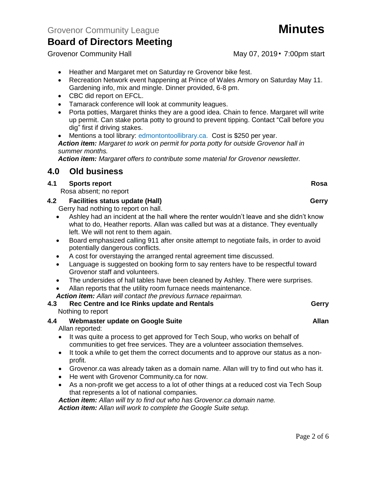Grovenor Community Hall May 07, 2019 • 7:00pm start

- Heather and Margaret met on Saturday re Grovenor bike fest.
- Recreation Network event happening at Prince of Wales Armory on Saturday May 11. Gardening info, mix and mingle. Dinner provided, 6-8 pm.
- CBC did report on EFCL.
- Tamarack conference will look at community leagues.
- Porta potties, Margaret thinks they are a good idea. Chain to fence. Margaret will write up permit. Can stake porta potty to ground to prevent tipping. Contact "Call before you dig" first if driving stakes.
- Mentions a tool library: edmontontoollibrary.ca. Cost is \$250 per year.

*Action item: Margaret to work on permit for porta potty for outside Grovenor hall in summer months.*

*Action item: Margaret offers to contribute some material for Grovenor newsletter.*

## **4.0 Old business**

#### **4.1 Sports report Rosa**

Rosa absent; no report

**4.2 Facilities status update (Hall) Gerry Gerry** 

Gerry had nothing to report on hall.

- Ashley had an incident at the hall where the renter wouldn't leave and she didn't know what to do, Heather reports. Allan was called but was at a distance. They eventually left. We will not rent to them again.
- Board emphasized calling 911 after onsite attempt to negotiate fails, in order to avoid potentially dangerous conflicts.
- A cost for overstaying the arranged rental agreement time discussed.
- Language is suggested on booking form to say renters have to be respectful toward Grovenor staff and volunteers.
- The undersides of hall tables have been cleaned by Ashley. There were surprises.
- Allan reports that the utility room furnace needs maintenance.

*Action item: Allan will contact the previous furnace repairman.*

#### **4.3 Rec Centre and Ice Rinks update and Rentals Gerry**

Nothing to report

### **4.4 Webmaster update on Google Suite Allan**

Allan reported:

- It was quite a process to get approved for Tech Soup, who works on behalf of communities to get free services. They are a volunteer association themselves.
- It took a while to get them the correct documents and to approve our status as a nonprofit.
- Grovenor.ca was already taken as a domain name. Allan will try to find out who has it.
- He went with Grovenor Community.ca for now.
- As a non-profit we get access to a lot of other things at a reduced cost via Tech Soup that represents a lot of national companies.

*Action item: Allan will try to find out who has Grovenor.ca domain name. Action item: Allan will work to complete the Google Suite setup.*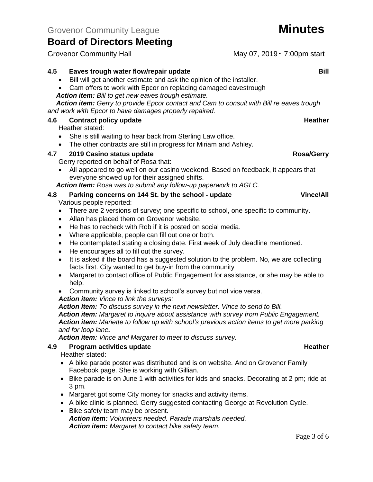#### **4.5 Eaves trough water flow/repair update Bill**

• Bill will get another estimate and ask the opinion of the installer.

• Cam offers to work with Epcor on replacing damaged eavestrough *Action item: Bill to get new eaves trough estimate.*

*Action item: Gerry to provide Epcor contact and Cam to consult with Bill re eaves trough and work with Epcor to have damages properly repaired.*

#### **4.6 Contract policy update Heather Heather Heather Heather**

Heather stated:

- She is still waiting to hear back from Sterling Law office.
- The other contracts are still in progress for Miriam and Ashley.

#### **4.7 2019 Casino status update Rosa/Gerry**

Gerry reported on behalf of Rosa that:

• All appeared to go well on our casino weekend. Based on feedback, it appears that everyone showed up for their assigned shifts.

*Action Item: Rosa was to submit any follow-up paperwork to AGLC.*

#### **4.8 Parking concerns on 144 St. by the school - update Vince/All**

Various people reported:

- There are 2 versions of survey; one specific to school, one specific to community.
- Allan has placed them on Grovenor website.
- He has to recheck with Rob if it is posted on social media.
- Where applicable, people can fill out one or both.
- He contemplated stating a closing date. First week of July deadline mentioned.
- He encourages all to fill out the survey.
- It is asked if the board has a suggested solution to the problem. No, we are collecting facts first. City wanted to get buy-in from the community
- Margaret to contact office of Public Engagement for assistance, or she may be able to help.
- Community survey is linked to school's survey but not vice versa.

*Action item: Vince to link the surveys:* 

*Action item: To discuss survey in the next newsletter. Vince to send to Bill.*

*Action item: Margaret to inquire about assistance with survey from Public Engagement. Action item: Mariette to follow up with school's previous action items to get more parking and for loop lane.*

*Action item: Vince and Margaret to meet to discuss survey.*

#### **4.9 Program activities update Heather Heather Heather Heather**

Heather stated:

- A bike parade poster was distributed and is on website. And on Grovenor Family Facebook page. She is working with Gillian.
- Bike parade is on June 1 with activities for kids and snacks. Decorating at 2 pm; ride at 3 pm.
- Margaret got some City money for snacks and activity items.
- A bike clinic is planned. Gerry suggested contacting George at Revolution Cycle.
- Bike safety team may be present. *Action item: Volunteers needed. Parade marshals needed. Action item: Margaret to contact bike safety team.*

Grovenor Community Hall May 07, 2019 • 7:00pm start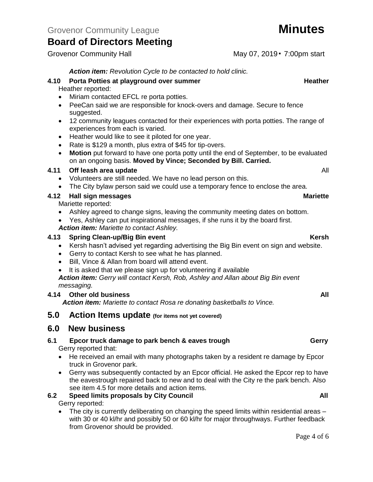#### *Action item: Revolution Cycle to be contacted to hold clinic.*

### **4.10 Porta Potties at playground over summer Heather Heather**

Heather reported:

- Miriam contacted EFCL re porta potties.
- PeeCan said we are responsible for knock-overs and damage. Secure to fence suggested.
- 12 community leagues contacted for their experiences with porta potties. The range of experiences from each is varied.
- Heather would like to see it piloted for one year.
- Rate is \$129 a month, plus extra of \$45 for tip-overs.
- **Motion** put forward to have one porta potty until the end of September, to be evaluated on an ongoing basis. **Moved by Vince; Seconded by Bill. Carried.**

#### **4.11 Off leash area update** All

- Volunteers are still needed. We have no lead person on this.
- The City bylaw person said we could use a temporary fence to enclose the area.

### **4.12 Hall sign messages Mariette**

Mariette reported:

• Ashley agreed to change signs, leaving the community meeting dates on bottom.

• Yes, Ashley can put inspirational messages, if she runs it by the board first.

*Action item: Mariette to contact Ashley.*

#### **4.13 Spring Clean-up/Big Bin event Kersh**

- Kersh hasn't advised yet regarding advertising the Big Bin event on sign and website.
- Gerry to contact Kersh to see what he has planned.
- Bill, Vince & Allan from board will attend event.
- It is asked that we please sign up for volunteering if available

*Action item: Gerry will contact Kersh, Rob, Ashley and Allan about Big Bin event messaging.*

### **4.14 Other old business All**

*Action item: Mariette to contact Rosa re donating basketballs to Vince.*

### **5.0 Action Items update (for items not yet covered)**

## **6.0 New business**

# **6.1 Epcor truck damage to park bench & eaves trough <b>GER GER GER GER**

Gerry reported that:

- He received an email with many photographs taken by a resident re damage by Epcor truck in Grovenor park.
- Gerry was subsequently contacted by an Epcor official. He asked the Epcor rep to have the eavestrough repaired back to new and to deal with the City re the park bench. Also see item 4.5 for more details and action items.

### **6.2 Speed limits proposals by City Council All**

Gerry reported:

The city is currently deliberating on changing the speed limits within residential areas with 30 or 40 kl/hr and possibly 50 or 60 kl/hr for major throughways. Further feedback from Grovenor should be provided.

Page 4 of 6

Grovenor Community Hall May 07, 2019 • 7:00pm start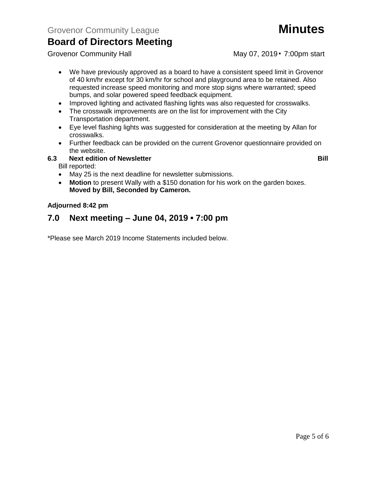Grovenor Community Hall May 07, 2019 • 7:00pm start

- We have previously approved as a board to have a consistent speed limit in Grovenor of 40 km/hr except for 30 km/hr for school and playground area to be retained. Also requested increase speed monitoring and more stop signs where warranted; speed bumps, and solar powered speed feedback equipment.
- Improved lighting and activated flashing lights was also requested for crosswalks.
- The crosswalk improvements are on the list for improvement with the City Transportation department.
- Eye level flashing lights was suggested for consideration at the meeting by Allan for crosswalks.
- Further feedback can be provided on the current Grovenor questionnaire provided on the website.
- **6.3 Next edition of Newsletter Bill**

Bill reported:

- May 25 is the next deadline for newsletter submissions.
- **Motion** to present Wally with a \$150 donation for his work on the garden boxes. **Moved by Bill, Seconded by Cameron.**

#### **Adjourned 8:42 pm**

## **7.0 Next meeting – June 04, 2019 ▪ 7:00 pm**

\*Please see March 2019 Income Statements included below.